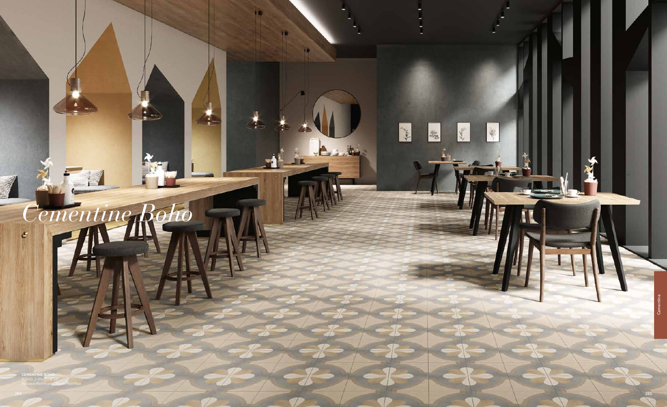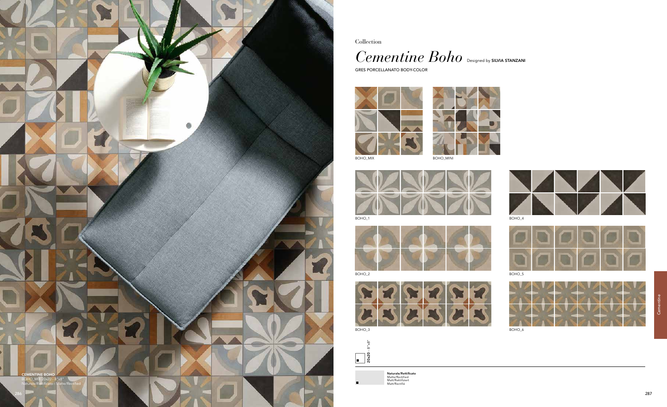Collection

 $\emph{Cementine Boho}$  Designed by SILVIA STANZANI

GRES PORCELLANATO BODY-COLOR





BOHO\_MIX BOHO\_MINI









Naturale/Rettificato Matte/Rectified Matt/Rektifiziert Matt/Rectifié













BOHO\_2 BOHO\_5



BOHO\_3 BOHO\_6